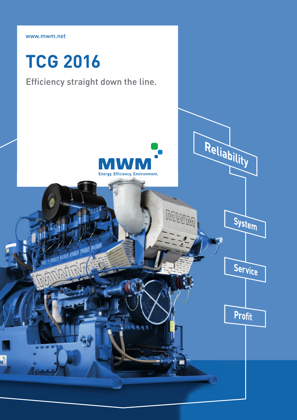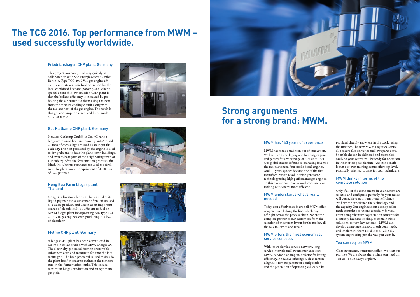# **The TCG 2016. Top performance from MWM – used successfully worldwide.**

#### Friedrichshagen CHP plant, Germany

Nawaro Kletkamp GmbH & Co. KG runs a biogas combined heat and power plant. Around 20 tons of corn silage are used as an input fuel each day. The heat produced by the engine is used to dry grain and to heat the plant's own buildings, and even to heat parts of the neighboring town of Lütjenburg. After the fermentation process is finished, the substrate remnants are used as a fertilizer. The plant saves the equivalent of 4,000 tons of CO<sub>2</sub> per year.

This project was completed very quickly in collaboration with SES Energiesysteme GmbH Berlin. A Type TCG 2016 V16 gas engine efficiently undertakes basic load operation for the local combined heat and power plant. What is special about this low-emission CHP plant is that the boilers' efficiency is increased by preheating the air current to them using the heat from the mixture cooling circuit along with the radiant heat of the gas engine. The result is that gas consumption is reduced by as much as 176,000 m3 ∕a .

### Gut Kletkamp CHP plant, Germany

#### Nong Bua Farm biogas plant, Thailand

Nong Bua livestock farm in Thailand takes its liquid pig manure, a substance often left unused as a waste product, and uses it as an important source of electricity. It is sufficient to fuel an MWM biogas plant incorporating two Type TCG 2016 V16 gas engines, each producing 700 kWel of electricity.

#### Mölme CHP plant, Germany

A biogas CHP plant has been constructed in Mölme in collaboration with SEVA Energie AG. The electricity generated from the renewable substances corn and manure is fed into the local mains grid. The heat generated is used mainly by the plant itself in order to maintain the temperature in the fermentation tanks. This ensures maximum biogas production and an optimum gas yield.







## **Strong arguments for a strong brand: MWM.**

#### MWM has 140 years of experience

MWM has made a tradition out of innovation. We have been developing and building engines and gensets for a wide range of uses since 1871. Our global success is founded on having invented the most advanced four-stroke diesel engines. And, 30 years ago, we became one of the first manufacturers to revolutionize generator technology using high-performance gas engines. To this day we continue to work constantly on making our systems more efficient.

#### MWM understands what's really needed

Today, cost-effectiveness is crucial! MWM offers cooperation all along the line, which pays off right across the process chain. We are the complete partner to our customers: from the selection of the system layout for the project, all the way to service and repair.

#### MWM offers the most economical service concepts

With its worldwide service network, long service intervals and low maintenance costs, MWM Service is an important factor for lasting efficiency. Innovative offerings such as remote diagnosis, remote parameter configuration and the generation of operating values can be

provided cheaply anywhere in the world using the Internet. The new MWM Logistics Centre also means fast deliveries and low spares costs. Shortblocks can be delivered and assembled easily, so your system will be ready for operation in the shortest possible time. Another benefit is that our own training centre offers top-level, practically oriented courses for your technicians.

#### MWM thinks in terms of the complete solution

Only if all of the components in your system are selected and configured perfectly for your needs will you achieve optimum overall efficiency. We have the experience, the technology and the capacity. Our engineers can develop tailormade complete solutions especially for you. From comprehensive cogeneration concepts for electricity, heat and cooling, to containerized solutions, to turn-key systems – MWM can develop complete concepts to suit your needs, and implement them reliably too. All in all, system engineering just the way you want it.

### You can rely on MWM

Clear statements, transparent offers: we keep our promise. We are always there when you need us. Test us – on site, at your plant.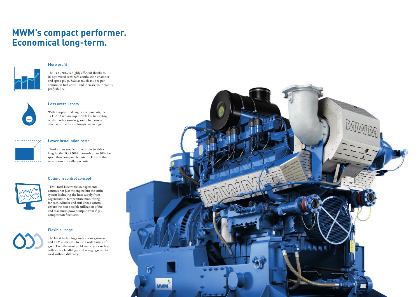# **MWM's compact performer. Economical long-term.**

### More profit



The TCG 2016 is highly efficient thanks to its optimized camshaft, combustion chamber and spark plugs. Save as much as 15 % per annum on fuel costs – and increase your plant's profitability.



With its optimized engine components, the TCG 2016 requires up to 50 % less lubricating oil than other similar gensets. In terms of efficiency that means long-term savings.



#### Less overall costs

TEM (Total Electronic Management) controls not just the engine but the entire system including the heat supply from cogeneration. Temperature monitoring for each cylinder and anti-knock control ensure the best possible utilization of fuel and maximum power output, even if gas composition fluctuates.

#### Lower installation costs

Thanks to its smaller dimensions (width x length), the TCG 2016 demands up to 50 % less space than comparable systems. For you that means lower installation costs.

### Optimum control concept



### Flexible usage

The latest technology such as our gas-mixer and TEM allows you to use a wide variety of gases. Even the most problematic gases such as  $\overline{\text{colli}}$  colliery gas, landfill gas and sewage gas can be used without difficulty.

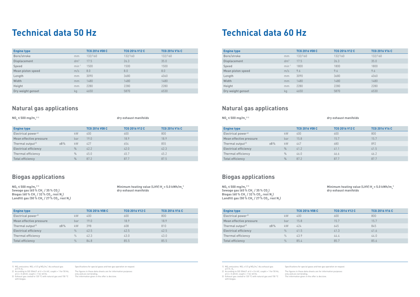# **Technical data 50 Hz**

## **Natural gas applications**

 $NO<sub>v</sub> \le 500$  mg/m<sub>n</sub><sup>31)</sup>

**3 1) dry exhaust manifolds**

## **Biogas applications**

 $NO_x \le 500$  mg/m<sub>n</sub><sup>31)</sup> **Sewage gas (65 % CH<sub>4</sub> / 35 % CO<sub>2</sub>)**  $\textsf{B}$ iogas (60 % CH $_{\textsf{A}}$  / 32 % CO<sub>2</sub>, rest N<sub>2</sub>)  $\mathsf{Landfill}$  gas (50 % CH $_{_4}$  / 27 % CO<sub>2</sub>, rest N<sub>2</sub>)

**Minimum heating value (LHV) H<sub>u</sub> = 5.0 kWh/m<sub>n</sub> ) dry exhaust manifolds**

| <b>Engine type</b>             |        |               | <b>TCG 2016 V08 C</b> | <b>TCG 2016 V12 C</b> | <b>TCG 2016 V16 C</b> |
|--------------------------------|--------|---------------|-----------------------|-----------------------|-----------------------|
| Electrical power <sup>2)</sup> |        | <b>kW</b>     | 400                   | 600                   | 800                   |
| Mean effective pressure        |        | bar           | 19.0                  | 18.9                  | 18.9                  |
| Thermal output <sup>31</sup>   | $±8\%$ | <b>kW</b>     | 427                   | 654                   | 855                   |
| <b>Electrical efficiency</b>   |        | $\frac{0}{0}$ | 42.2                  | 42.0                  | 42.3                  |
| Thermal efficiency             |        | $\frac{0}{0}$ | 45.0                  | 45.7                  | 45.2                  |
| <b>Total efficiency</b>        |        | $\frac{0}{0}$ | 87.2                  | 87.7                  | 87.5                  |

| <b>Engine type</b>             |     |               | <b>TCG 2016 V08 C</b> | <b>TCG 2016 V12 C</b> | <b>TCG 2016 V16 C</b> |
|--------------------------------|-----|---------------|-----------------------|-----------------------|-----------------------|
| Electrical power <sup>2)</sup> |     | <b>kW</b>     | 400                   | 600                   | 800                   |
| Mean effective pressure        |     | bar           | 19.0                  | 18.9                  | 18.9                  |
| Thermal output <sup>31</sup>   | ±8% | <b>kW</b>     | 398                   | 608                   | 810                   |
| <b>Electrical efficiency</b>   |     | $\frac{0}{0}$ | 42.5                  | 42.5                  | 42.5                  |
| Thermal efficiency             |     | $\frac{0}{0}$ | 42.3                  | 43.0                  | 43.0                  |
| <b>Total efficiency</b>        |     | $\frac{0}{0}$ | 84.8                  | 85.5                  | 85.5                  |

1) NO<sub>x</sub> emissions: NO<sub>x</sub> < 0.5 g NO<sub>2</sub>/m<sub>n</sub><sup>3</sup> dry exhaust gas at 5% O<sub>2</sub>.<br>
2) According to ISO 3046/1 at U = 0.4 kV, cosphi = 1 for 50 Hz,<br>
at U = 0.48 kV, cosphi = 1 for 60 Hz.<br>
3) Exhaust gas cooled to 120 °C with natural gas and 150 °C<br>
with biogas.

| <b>Engine type</b> |                 | <b>TCG 2016 V08 C</b> | <b>TCG 2016 V12 C</b> | <b>TCG 2016 V16 C</b> |
|--------------------|-----------------|-----------------------|-----------------------|-----------------------|
| Bore/stroke        | mm              | 132/160               | 132/160               | 132/160               |
| Displacement       | dm <sup>3</sup> | 17.5                  | 26.3                  | 35.0                  |
| Speed              | $min-1$         | 1500                  | 1500                  | 1500                  |
| Mean piston speed  | m/s             | 8.0                   | 8.0                   | 8.0                   |
| Length             | mm              | 3090                  | 3680                  | 4060                  |
| Width              | mm              | 1480                  | 1480                  | 1480                  |
| Height             | mm              | 2280                  | 2280                  | 2280                  |
| Dry weight genset  | kg              | 4650                  | 5870                  | 6530                  |

**Minimum heating value (LHV) H<sub>u</sub> = 5.0 kWh/m<sub>n</sub> ) dry exhaust manifolds**

The figures in these data sheets are for information purposes only and are not binding. The information given in the offer is decisive.

Specifications for special gases and two-gas operation on request.

The figures in these data sheets are for information purposes only and are not binding. The information given in the offer is decisive.

## **Natural gas applications**

 $NO<sub>v</sub> \le 500$  mg/m<sub>n</sub><sup>31)</sup>

#### **3 1) dry exhaust manifolds**

## **Biogas applications**

 $NO_x \le 500$  mg/m<sub>n</sub><sup>311</sup> **Sewage gas (65 % CH<sub>4</sub> / 35 % CO<sub>2</sub>)**  $\textsf{B}$ iogas (60 % CH<sub>4</sub> / 32 % CO<sub>2</sub>, rest N<sub>2</sub>)  $\mathsf{Landfill}$  gas (50 % CH $_{\mathsf{A}}$  / 27 % CO<sub>2</sub>, rest N<sub>2</sub>)

| <b>Engine type</b>             |     |               | <b>TCG 2016 V08 C</b> | <b>TCG 2016 V12 C</b> | <b>TCG 2016 V16 C</b> |
|--------------------------------|-----|---------------|-----------------------|-----------------------|-----------------------|
| Electrical power <sup>2)</sup> |     | <b>kW</b>     | 400                   | 600                   | 800                   |
| Mean effective pressure        |     | bar           | 15.8                  | 15.7                  | 15.7                  |
| Thermal output <sup>3)</sup>   | ±8% | kW            | 447                   | 680                   | 892                   |
| <b>Electrical efficiency</b>   |     | $\frac{0}{0}$ | 41.2                  | 41.1                  | 41.5                  |
| Thermal efficiency             |     | $\frac{0}{0}$ | 46.0                  | 46.6                  | 46.2                  |
| <b>Total efficiency</b>        |     | $\frac{0}{0}$ | 87.2                  | 87.7                  | 87.7                  |

| <b>Engine type</b>             |     |               | <b>TCG 2016 V08 C</b> | <b>TCG 2016 V12 C</b> | <b>TCG 2016 V16 C</b> |
|--------------------------------|-----|---------------|-----------------------|-----------------------|-----------------------|
| Electrical power <sup>2)</sup> |     | <b>kW</b>     | 400                   | 600                   | 800                   |
| Mean effective pressure        |     | bar           | 15.8                  | 15.7                  | 15.7                  |
| Thermal output <sup>31</sup>   | ±8% | kW            | 424                   | 645                   | 845                   |
| <b>Electrical efficiency</b>   |     | $\frac{0}{0}$ | 41.5                  | 41.3                  | 41.6                  |
| Thermal efficiency             |     | $\frac{0}{0}$ | 43.9                  | 44.4                  | 44.0                  |
| Total efficiency               |     | $\frac{0}{0}$ | 85.4                  | 85.7                  | 85.6                  |

1)  $NO_x$  emissions:  $NO_x \le 0.5$  g  $NO_2/m_n^3$  dry exhaust gas<br>at 5% 0<sub>2</sub>.<br>2) According to ISO 3046/1 at U = 0.4 kV, cosphi = 1 for 50 Hz,<br>at U = 0.48 kV, cosphi = 1 for 60 Hz.<br>3) Exhaust gas cooled to 120 °C with natural gas

| <b>Engine type</b> |                 | <b>TCG 2016 V08 C</b> | <b>TCG 2016 V12 C</b> | <b>TCG 2016 V16 C</b> |
|--------------------|-----------------|-----------------------|-----------------------|-----------------------|
| Bore/stroke        | mm              | 132/160               | 132/160               | 132/160               |
| Displacement       | dm <sup>3</sup> | 17.5                  | 26.3                  | 35.0                  |
| Speed              | $min^{-1}$      | 1800                  | 1800                  | 1800                  |
| Mean piston speed  | m/s             | 9.6                   | 9.6                   | 9.6                   |
| Length             | mm              | 3090                  | 3680                  | 4060                  |
| Width              | mm              | 1480                  | 1480                  | 1480                  |
| Height             | mm              | 2280                  | 2280                  | 2280                  |
| Dry weight genset  | kg              | 4650                  | 5870                  | 6530                  |

# **Technical data 60 Hz**

Specifications for special gases and two-gas operation on request.